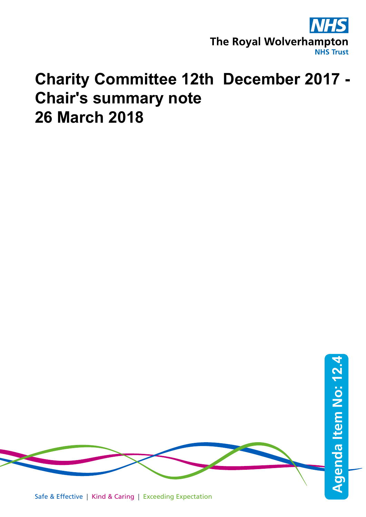

## **Charity Committee 12th December 2017 - Chair's summary note 26 March 2018**

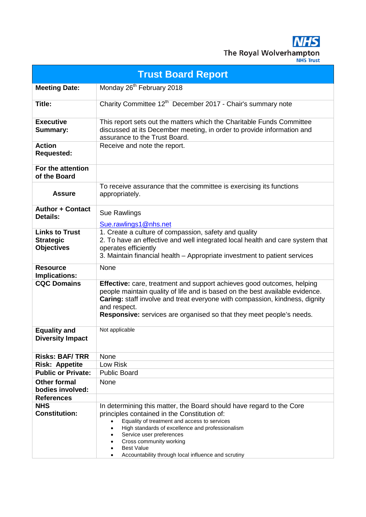**NHS** The Royal Wolverhampton

| <b>Trust Board Report</b>                                      |                                                                                                                                                                                                                                                                                                                                             |  |  |  |  |  |
|----------------------------------------------------------------|---------------------------------------------------------------------------------------------------------------------------------------------------------------------------------------------------------------------------------------------------------------------------------------------------------------------------------------------|--|--|--|--|--|
| <b>Meeting Date:</b>                                           | Monday 26 <sup>th</sup> February 2018                                                                                                                                                                                                                                                                                                       |  |  |  |  |  |
| <b>Title:</b>                                                  | Charity Committee 12 <sup>th</sup> December 2017 - Chair's summary note                                                                                                                                                                                                                                                                     |  |  |  |  |  |
| <b>Executive</b><br>Summary:                                   | This report sets out the matters which the Charitable Funds Committee<br>discussed at its December meeting, in order to provide information and<br>assurance to the Trust Board.                                                                                                                                                            |  |  |  |  |  |
| <b>Action</b><br><b>Requested:</b>                             | Receive and note the report.                                                                                                                                                                                                                                                                                                                |  |  |  |  |  |
| For the attention<br>of the Board                              |                                                                                                                                                                                                                                                                                                                                             |  |  |  |  |  |
| <b>Assure</b>                                                  | To receive assurance that the committee is exercising its functions<br>appropriately.                                                                                                                                                                                                                                                       |  |  |  |  |  |
| <b>Author + Contact</b><br><b>Details:</b>                     | Sue Rawlings<br>Sue.rawlings1@nhs.net                                                                                                                                                                                                                                                                                                       |  |  |  |  |  |
| <b>Links to Trust</b><br><b>Strategic</b><br><b>Objectives</b> | 1. Create a culture of compassion, safety and quality<br>2. To have an effective and well integrated local health and care system that<br>operates efficiently<br>3. Maintain financial health - Appropriate investment to patient services                                                                                                 |  |  |  |  |  |
| <b>Resource</b><br>Implications:                               | <b>None</b>                                                                                                                                                                                                                                                                                                                                 |  |  |  |  |  |
| <b>CQC Domains</b>                                             | <b>Effective:</b> care, treatment and support achieves good outcomes, helping<br>people maintain quality of life and is based on the best available evidence.<br>Caring: staff involve and treat everyone with compassion, kindness, dignity<br>and respect.<br><b>Responsive:</b> services are organised so that they meet people's needs. |  |  |  |  |  |
| <b>Equality and</b><br><b>Diversity Impact</b>                 | Not applicable                                                                                                                                                                                                                                                                                                                              |  |  |  |  |  |
| <b>Risks: BAF/TRR</b>                                          | None                                                                                                                                                                                                                                                                                                                                        |  |  |  |  |  |
| <b>Risk: Appetite</b>                                          | Low Risk                                                                                                                                                                                                                                                                                                                                    |  |  |  |  |  |
| <b>Public or Private:</b>                                      | <b>Public Board</b>                                                                                                                                                                                                                                                                                                                         |  |  |  |  |  |
| <b>Other formal</b>                                            | None                                                                                                                                                                                                                                                                                                                                        |  |  |  |  |  |
| bodies involved:                                               |                                                                                                                                                                                                                                                                                                                                             |  |  |  |  |  |
| <b>References</b>                                              |                                                                                                                                                                                                                                                                                                                                             |  |  |  |  |  |
| <b>NHS</b><br><b>Constitution:</b>                             | In determining this matter, the Board should have regard to the Core<br>principles contained in the Constitution of:<br>Equality of treatment and access to services<br>$\bullet$<br>High standards of excellence and professionalism<br>Service user preferences<br>Cross community working<br><b>Best Value</b>                           |  |  |  |  |  |
|                                                                | Accountability through local influence and scrutiny                                                                                                                                                                                                                                                                                         |  |  |  |  |  |